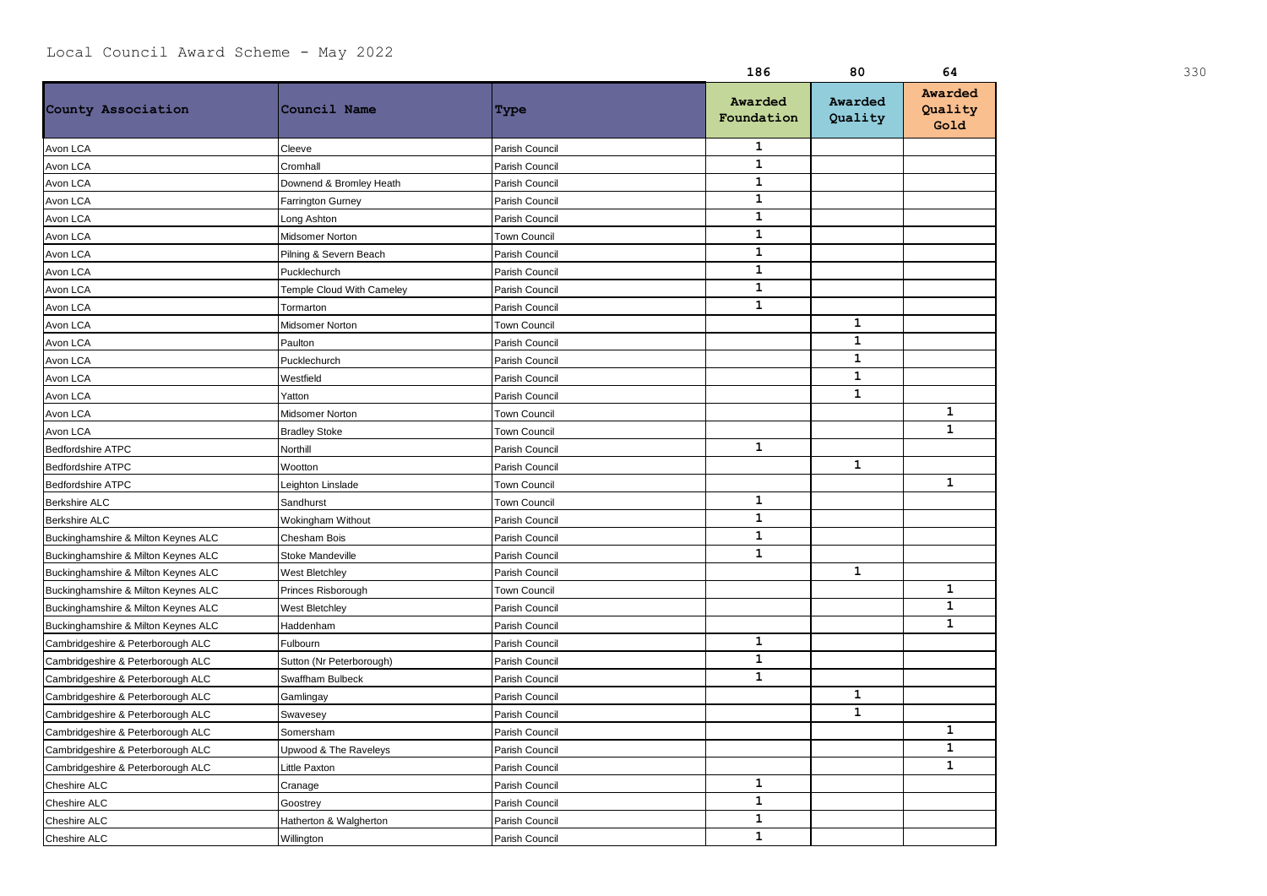|                                     |                           |                     | 186                   | 80                 | 64                         | 330 |
|-------------------------------------|---------------------------|---------------------|-----------------------|--------------------|----------------------------|-----|
| County Association                  | Council Name              | Type                | Awarded<br>Foundation | Awarded<br>Quality | Awarded<br>Quality<br>Gold |     |
| Avon LCA                            | Cleeve                    | Parish Council      | $\mathbf{1}$          |                    |                            |     |
| Avon LCA                            | Cromhall                  | Parish Council      | $\mathbf{1}$          |                    |                            |     |
| Avon LCA                            | Downend & Bromley Heath   | Parish Council      | $\mathbf{1}$          |                    |                            |     |
| Avon LCA                            | <b>Farrington Gurney</b>  | Parish Council      | $\mathbf{1}$          |                    |                            |     |
| Avon LCA                            | Long Ashton               | Parish Council      | $\mathbf{1}$          |                    |                            |     |
| Avon LCA                            | Midsomer Norton           | <b>Town Council</b> | $\mathbf{1}$          |                    |                            |     |
| Avon LCA                            | Pilning & Severn Beach    | Parish Council      | ${\bf 1}$             |                    |                            |     |
| Avon LCA                            | Pucklechurch              | Parish Council      | $\mathbf{1}$          |                    |                            |     |
| Avon LCA                            | Temple Cloud With Cameley | Parish Council      | $\mathbf{1}$          |                    |                            |     |
| Avon LCA                            | Tormarton                 | Parish Council      | $\mathbf{1}$          |                    |                            |     |
| Avon LCA                            | Midsomer Norton           | <b>Town Council</b> |                       | $\mathbf{1}$       |                            |     |
| Avon LCA                            | Paulton                   | Parish Council      |                       | $\mathbf{1}$       |                            |     |
| Avon LCA                            | Pucklechurch              | Parish Council      |                       | $\mathbf{1}$       |                            |     |
| Avon LCA                            | Westfield                 | Parish Council      |                       | $\mathbf{1}$       |                            |     |
| Avon LCA                            | Yatton                    | Parish Council      |                       | $\mathbf{1}$       |                            |     |
| Avon LCA                            | Midsomer Norton           | <b>Town Council</b> |                       |                    | $\mathbf{1}$               |     |
| Avon LCA                            | <b>Bradley Stoke</b>      | <b>Town Council</b> |                       |                    | $\mathbf{1}$               |     |
| <b>Bedfordshire ATPC</b>            | Northill                  | Parish Council      | $\mathbf{1}$          |                    |                            |     |
| Bedfordshire ATPC                   | Wootton                   | Parish Council      |                       | $\mathbf{1}$       |                            |     |
| Bedfordshire ATPC                   | Leighton Linslade         | <b>Town Council</b> |                       |                    | 1                          |     |
| <b>Berkshire ALC</b>                | Sandhurst                 | <b>Town Council</b> | $\mathbf{1}$          |                    |                            |     |
| <b>Berkshire ALC</b>                | Wokingham Without         | Parish Council      | $\mathbf{1}$          |                    |                            |     |
| Buckinghamshire & Milton Keynes ALC | <b>Chesham Bois</b>       | Parish Council      | $\mathbf{1}$          |                    |                            |     |
| Buckinghamshire & Milton Keynes ALC | <b>Stoke Mandeville</b>   | Parish Council      | $\mathbf{1}$          |                    |                            |     |
| Buckinghamshire & Milton Keynes ALC | West Bletchley            | Parish Council      |                       | $\mathbf{1}$       |                            |     |
| Buckinghamshire & Milton Keynes ALC | Princes Risborough        | <b>Town Council</b> |                       |                    | $\mathbf{1}$               |     |
| Buckinghamshire & Milton Keynes ALC | <b>West Bletchley</b>     | Parish Council      |                       |                    | $\mathbf{1}$               |     |
| Buckinghamshire & Milton Keynes ALC | Haddenham                 | Parish Council      |                       |                    | $\mathbf{1}$               |     |
| Cambridgeshire & Peterborough ALC   | Fulbourn                  | Parish Council      | $\mathbf{1}$          |                    |                            |     |
| Cambridgeshire & Peterborough ALC   | Sutton (Nr Peterborough)  | Parish Council      | $\mathbf{1}$          |                    |                            |     |
| Cambridgeshire & Peterborough ALC   | Swaffham Bulbeck          | Parish Council      | $\mathbf{1}$          |                    |                            |     |
| Cambridgeshire & Peterborough ALC   | Gamlingay                 | Parish Council      |                       | $\mathbf{1}$       |                            |     |
| Cambridgeshire & Peterborough ALC   | Swavesey                  | Parish Council      |                       | $\mathbf{1}$       |                            |     |
| Cambridgeshire & Peterborough ALC   | Somersham                 | Parish Council      |                       |                    | $\mathbf{1}$               |     |
| Cambridgeshire & Peterborough ALC   | Upwood & The Raveleys     | Parish Council      |                       |                    | $\mathbf{1}$               |     |
| Cambridgeshire & Peterborough ALC   | <b>Little Paxton</b>      | Parish Council      |                       |                    | $\mathbf{1}$               |     |
| Cheshire ALC                        | Cranage                   | Parish Council      | $\mathbf{1}$          |                    |                            |     |
| Cheshire ALC                        | Goostrey                  | Parish Council      | $\mathbf 1$           |                    |                            |     |
| Cheshire ALC                        | Hatherton & Walgherton    | Parish Council      | $\mathbf{1}$          |                    |                            |     |
| Cheshire ALC                        | Willington                | Parish Council      | $\mathbf{1}$          |                    |                            |     |
|                                     |                           |                     |                       |                    |                            |     |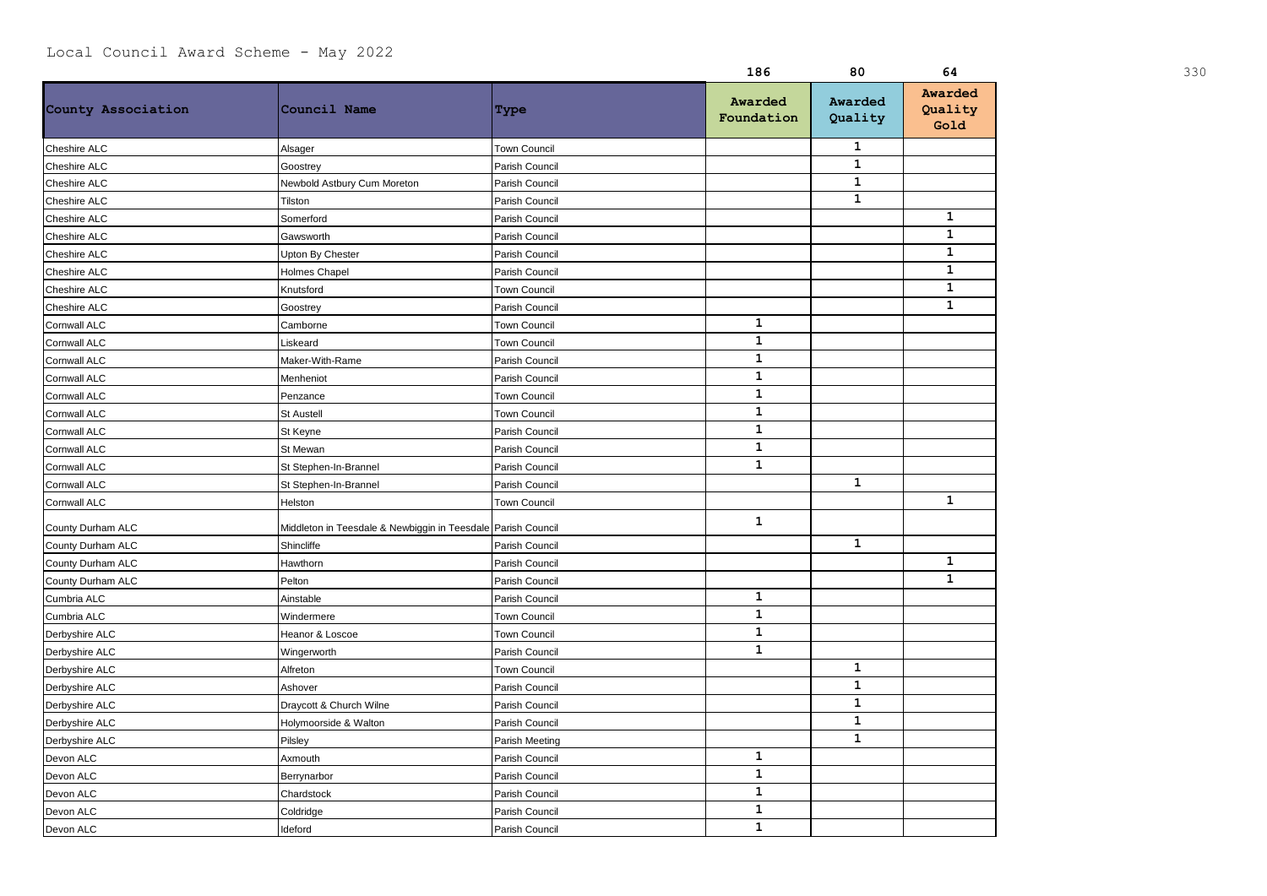|                             |                                                              |                     | 186                   | 80                 | 64                         | 330 |
|-----------------------------|--------------------------------------------------------------|---------------------|-----------------------|--------------------|----------------------------|-----|
| County Association          | Council Name                                                 | Type                | Awarded<br>Foundation | Awarded<br>Quality | Awarded<br>Quality<br>Gold |     |
| Cheshire ALC<br>Alsager     |                                                              | <b>Town Council</b> |                       | 1                  |                            |     |
| Cheshire ALC                | Goostrey                                                     | Parish Council      |                       | $\mathbf{1}$       |                            |     |
| Cheshire ALC                | Newbold Astbury Cum Moreton                                  | Parish Council      |                       | $\mathbf{1}$       |                            |     |
| Cheshire ALC<br>Tilston     |                                                              | Parish Council      |                       | $\mathbf{1}$       |                            |     |
| Cheshire ALC                | Somerford                                                    | Parish Council      |                       |                    | 1                          |     |
| Cheshire ALC                | Gawsworth                                                    | Parish Council      |                       |                    | 1                          |     |
| Cheshire ALC                | Upton By Chester                                             | Parish Council      |                       |                    | $\mathbf{1}$               |     |
| Cheshire ALC                | <b>Holmes Chapel</b>                                         | Parish Council      |                       |                    | $\mathbf{1}$               |     |
| Cheshire ALC                | Knutsford                                                    | <b>Town Council</b> |                       |                    | $\mathbf{1}$               |     |
| Cheshire ALC                | Goostrey                                                     | Parish Council      |                       |                    | $\mathbf{1}$               |     |
| Cornwall ALC                | Camborne                                                     | Town Council        | $\mathbf{1}$          |                    |                            |     |
| Cornwall ALC                | Liskeard                                                     | <b>Town Council</b> | $\mathbf{1}$          |                    |                            |     |
| Cornwall ALC                | Maker-With-Rame                                              | Parish Council      | $\mathbf{1}$          |                    |                            |     |
| Cornwall ALC                | Menheniot                                                    | Parish Council      | $\mathbf 1$           |                    |                            |     |
| Cornwall ALC                | Penzance                                                     | Town Council        | $\mathbf{1}$          |                    |                            |     |
| Cornwall ALC                | <b>St Austell</b>                                            | <b>Town Council</b> | $\mathbf{1}$          |                    |                            |     |
| Cornwall ALC                | St Keyne                                                     | Parish Council      | $\mathbf{1}$          |                    |                            |     |
| Cornwall ALC                | St Mewan                                                     | Parish Council      | $\mathbf{1}$          |                    |                            |     |
| Cornwall ALC                | St Stephen-In-Brannel                                        | Parish Council      | $\mathbf{1}$          |                    |                            |     |
| Cornwall ALC                | St Stephen-In-Brannel                                        | Parish Council      |                       | $\mathbf 1$        |                            |     |
| Cornwall ALC<br>Helston     |                                                              | <b>Town Council</b> |                       |                    | $\mathbf{1}$               |     |
| County Durham ALC           | Middleton in Teesdale & Newbiggin in Teesdale Parish Council |                     | $\mathbf{1}$          |                    |                            |     |
| County Durham ALC           | Shincliffe                                                   | Parish Council      |                       | $\mathbf{1}$       |                            |     |
| County Durham ALC           | Hawthorn                                                     | Parish Council      |                       |                    | 1                          |     |
| County Durham ALC<br>Pelton |                                                              | Parish Council      |                       |                    | $\mathbf{1}$               |     |
| Cumbria ALC                 | Ainstable                                                    | Parish Council      | ${\bf 1}$             |                    |                            |     |
| Cumbria ALC                 | Windermere                                                   | Town Council        | $\mathbf{1}$          |                    |                            |     |
| Derbyshire ALC              | Heanor & Loscoe                                              | Town Council        | $\mathbf{1}$          |                    |                            |     |
| Derbyshire ALC              | Wingerworth                                                  | Parish Council      | $\mathbf{1}$          |                    |                            |     |
| Derbyshire ALC<br>Alfreton  |                                                              | Town Council        |                       | $\mathbf{1}$       |                            |     |
| Derbyshire ALC<br>Ashover   |                                                              | Parish Council      |                       | $\mathbf{1}$       |                            |     |
| Derbyshire ALC              | Draycott & Church Wilne                                      | Parish Council      |                       | $\mathbf{1}$       |                            |     |
| Derbyshire ALC              | Holymoorside & Walton                                        | Parish Council      |                       | $\mathbf{1}$       |                            |     |
| Pilsley<br>Derbyshire ALC   |                                                              | Parish Meeting      |                       | $\mathbf{1}$       |                            |     |
| Devon ALC                   | Axmouth                                                      | Parish Council      | 1                     |                    |                            |     |
| Devon ALC                   | Berrynarbor                                                  | Parish Council      | $\mathbf 1$           |                    |                            |     |
| Devon ALC                   | Chardstock                                                   | Parish Council      | $\mathbf 1$           |                    |                            |     |
| Devon ALC                   | Coldridge                                                    | Parish Council      | $\mathbf{1}$          |                    |                            |     |
| Devon ALC<br>Ideford        |                                                              | Parish Council      | $\mathbf{1}$          |                    |                            |     |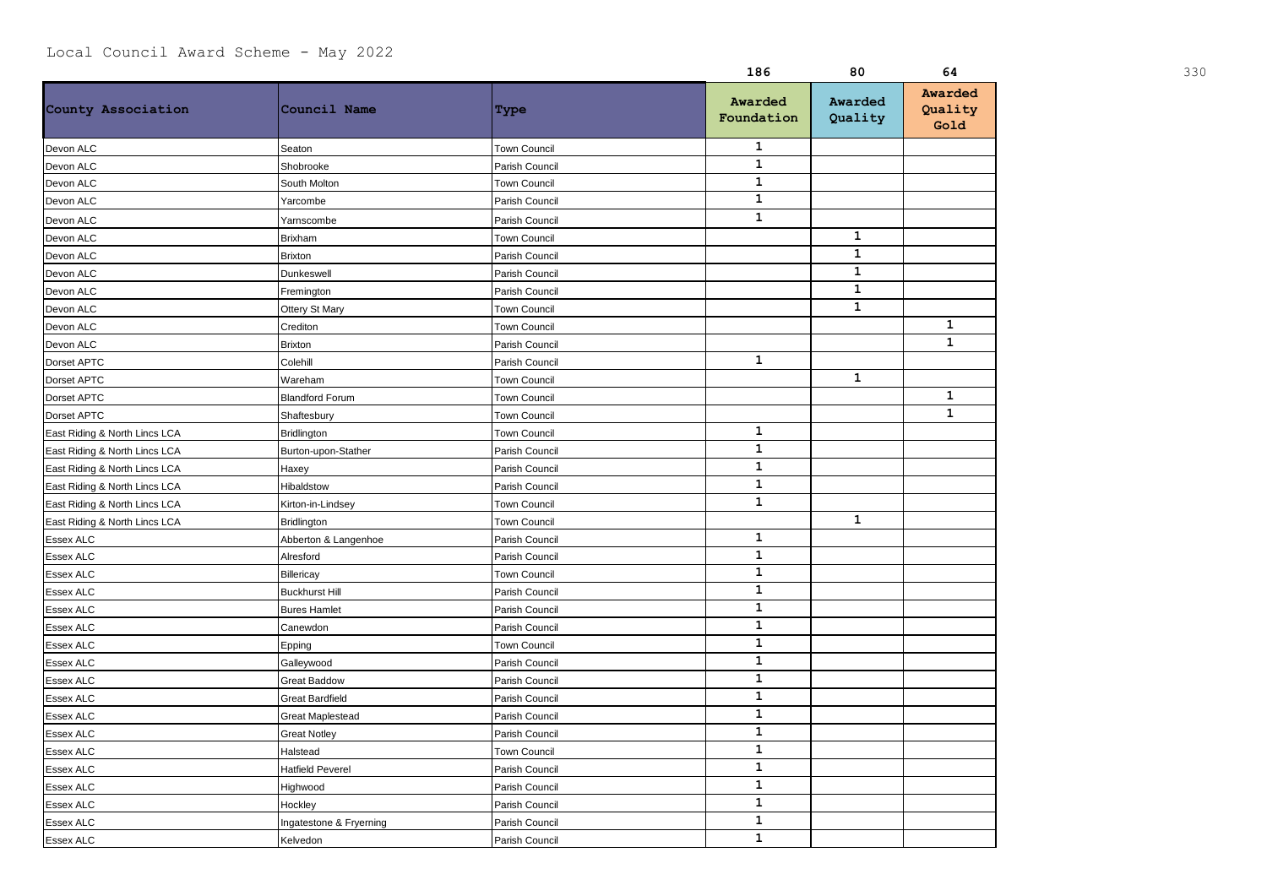|                               |                         |                     | 186                   | 80                 | 64                         | 330 |
|-------------------------------|-------------------------|---------------------|-----------------------|--------------------|----------------------------|-----|
| County Association            | Council Name            | Type                | Awarded<br>Foundation | Awarded<br>Quality | Awarded<br>Quality<br>Gold |     |
| Devon ALC                     | Seaton                  | <b>Town Council</b> | $\mathbf{1}$          |                    |                            |     |
| Devon ALC                     | Shobrooke               | Parish Council      | $\mathbf{1}$          |                    |                            |     |
| Devon ALC                     | South Molton            | Town Council        | $\mathbf 1$           |                    |                            |     |
| Devon ALC                     | Yarcombe                | Parish Council      | $\mathbf 1$           |                    |                            |     |
| Devon ALC                     | Yarnscombe              | Parish Council      | $\mathbf{1}$          |                    |                            |     |
| Devon ALC                     | <b>Brixham</b>          | <b>Town Council</b> |                       | $\mathbf{1}$       |                            |     |
| Devon ALC                     | <b>Brixton</b>          | Parish Council      |                       | $\mathbf{1}$       |                            |     |
| Devon ALC                     | Dunkeswell              | Parish Council      |                       | $\mathbf{1}$       |                            |     |
| Devon ALC                     | Fremington              | Parish Council      |                       | $\mathbf{1}$       |                            |     |
| Devon ALC                     | Ottery St Mary          | Town Council        |                       | $\mathbf{1}$       |                            |     |
| Devon ALC                     | Crediton                | <b>Town Council</b> |                       |                    | 1                          |     |
| Devon ALC                     | <b>Brixton</b>          | Parish Council      |                       |                    | $\mathbf{1}$               |     |
| Dorset APTC                   | Colehill                | Parish Council      | $\mathbf{1}$          |                    |                            |     |
| Dorset APTC                   | Wareham                 | Town Council        |                       | $\mathbf{1}$       |                            |     |
| Dorset APTC                   | <b>Blandford Forum</b>  | Town Council        |                       |                    | 1                          |     |
| Dorset APTC                   | Shaftesbury             | <b>Town Council</b> |                       |                    | $\mathbf{1}$               |     |
| East Riding & North Lincs LCA | <b>Bridlington</b>      | Town Council        | $\mathbf 1$           |                    |                            |     |
| East Riding & North Lincs LCA | Burton-upon-Stather     | Parish Council      | $\mathbf{1}$          |                    |                            |     |
| East Riding & North Lincs LCA | Haxey                   | Parish Council      | $\mathbf{1}$          |                    |                            |     |
| East Riding & North Lincs LCA | Hibaldstow              | Parish Council      | $\mathbf{1}$          |                    |                            |     |
| East Riding & North Lincs LCA | Kirton-in-Lindsey       | <b>Town Council</b> | $\mathbf{1}$          |                    |                            |     |
| East Riding & North Lincs LCA | Bridlington             | Town Council        |                       | $\mathbf{1}$       |                            |     |
| Essex ALC                     | Abberton & Langenhoe    | Parish Council      | $\mathbf{1}$          |                    |                            |     |
| Essex ALC                     | Alresford               | Parish Council      | $\mathbf 1$           |                    |                            |     |
| Essex ALC                     | Billericay              | Town Council        | $\mathbf{1}$          |                    |                            |     |
| Essex ALC                     | <b>Buckhurst Hill</b>   | Parish Council      | $\mathbf{1}$          |                    |                            |     |
| <b>Essex ALC</b>              | <b>Bures Hamlet</b>     | Parish Council      | $\mathbf{1}$          |                    |                            |     |
| <b>Essex ALC</b>              | Canewdon                | Parish Council      | $\mathbf{1}$          |                    |                            |     |
| Essex ALC                     | Epping                  | Town Council        | $\mathbf{1}$          |                    |                            |     |
| Essex ALC                     | Galleywood              | Parish Council      | $\mathbf{1}$          |                    |                            |     |
| Essex ALC                     | <b>Great Baddow</b>     | Parish Council      | $\mathbf 1$           |                    |                            |     |
| <b>Essex ALC</b>              | <b>Great Bardfield</b>  | Parish Council      | $\mathbf 1$           |                    |                            |     |
| Essex ALC                     | <b>Great Maplestead</b> | Parish Council      | $\mathbf{1}$          |                    |                            |     |
| Essex ALC                     | <b>Great Notley</b>     | Parish Council      | $\mathbf{1}$          |                    |                            |     |
| Essex ALC                     | Halstead                | Town Council        | $\mathbf{1}$          |                    |                            |     |
| Essex ALC                     | <b>Hatfield Peverel</b> | Parish Council      | $\mathbf{1}$          |                    |                            |     |
| <b>Essex ALC</b>              | Highwood                | Parish Council      | $\mathbf{1}$          |                    |                            |     |
| Essex ALC                     | Hockley                 | Parish Council      | $\mathbf{1}$          |                    |                            |     |
| Essex ALC                     | Ingatestone & Fryerning | Parish Council      | $\mathbf{1}$          |                    |                            |     |
| <b>Essex ALC</b>              | Kelvedon                | Parish Council      | $\mathbf{1}$          |                    |                            |     |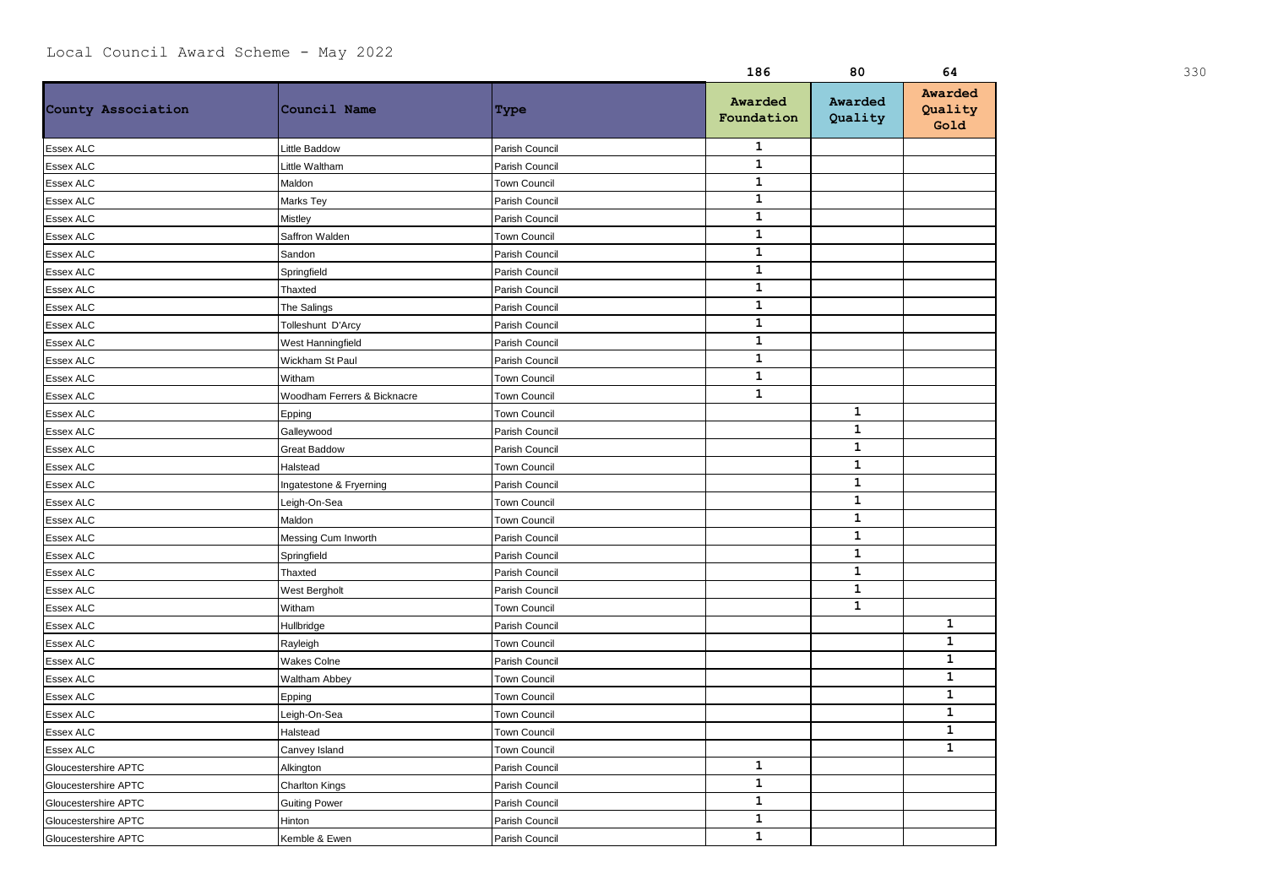|                      |                             |                     | 186                   | 80                 | 64                         |  |
|----------------------|-----------------------------|---------------------|-----------------------|--------------------|----------------------------|--|
| County Association   | Council Name                | Type                | Awarded<br>Foundation | Awarded<br>Quality | Awarded<br>Quality<br>Gold |  |
| <b>Essex ALC</b>     | Little Baddow               | Parish Council      | $\mathbf{1}$          |                    |                            |  |
| Essex ALC            | Little Waltham              | Parish Council      | $\mathbf 1$           |                    |                            |  |
| Essex ALC            | Maldon                      | Town Council        | $\mathbf 1$           |                    |                            |  |
| Essex ALC            | Marks Tey                   | Parish Council      | $\mathbf 1$           |                    |                            |  |
| <b>Essex ALC</b>     | Mistley                     | Parish Council      | $\mathbf{1}$          |                    |                            |  |
| Essex ALC            | Saffron Walden              | <b>Town Council</b> | $\mathbf 1$           |                    |                            |  |
| Essex ALC            | Sandon                      | Parish Council      | $\mathbf 1$           |                    |                            |  |
| <b>Essex ALC</b>     | Springfield                 | Parish Council      | $\mathbf 1$           |                    |                            |  |
| Essex ALC            | Thaxted                     | Parish Council      | $\mathbf 1$           |                    |                            |  |
| <b>Essex ALC</b>     | The Salings                 | Parish Council      | $\mathbf{1}$          |                    |                            |  |
| Essex ALC            | Tolleshunt D'Arcy           | Parish Council      | $\mathbf{1}$          |                    |                            |  |
| Essex ALC            | West Hanningfield           | Parish Council      | $\mathbf 1$           |                    |                            |  |
| Essex ALC            | Wickham St Paul             | Parish Council      | $\mathbf 1$           |                    |                            |  |
| <b>Essex ALC</b>     | Witham                      | <b>Town Council</b> | $\mathbf 1$           |                    |                            |  |
| <b>Essex ALC</b>     | Woodham Ferrers & Bicknacre | Town Council        | $\mathbf{1}$          |                    |                            |  |
| Essex ALC            | Epping                      | Town Council        |                       | $\mathbf{1}$       |                            |  |
| Essex ALC            | Galleywood                  | Parish Council      |                       | $\mathbf{1}$       |                            |  |
| Essex ALC            | <b>Great Baddow</b>         | Parish Council      |                       | $\mathbf{1}$       |                            |  |
| Essex ALC            | Halstead                    | Town Council        |                       | $\mathbf{1}$       |                            |  |
| <b>Essex ALC</b>     | Ingatestone & Fryerning     | Parish Council      |                       | $\mathbf{1}$       |                            |  |
| Essex ALC            | Leigh-On-Sea                | Town Council        |                       | $\mathbf{1}$       |                            |  |
| Essex ALC            | Maldon                      | Town Council        |                       | $\mathbf{1}$       |                            |  |
| Essex ALC            | Messing Cum Inworth         | Parish Council      |                       | $\mathbf 1$        |                            |  |
| <b>Essex ALC</b>     | Springfield                 | Parish Council      |                       | $\mathbf{1}$       |                            |  |
| <b>Essex ALC</b>     | Thaxted                     | Parish Council      |                       | $\mathbf{1}$       |                            |  |
| Essex ALC            | West Bergholt               | Parish Council      |                       | $\mathbf{1}$       |                            |  |
| Essex ALC            | Witham                      | Town Council        |                       | $\mathbf{1}$       |                            |  |
| Essex ALC            | Hullbridge                  | Parish Council      |                       |                    | $\mathbf{1}$               |  |
| <b>Essex ALC</b>     | Rayleigh                    | Town Council        |                       |                    | $\mathbf{1}$               |  |
| Essex ALC            | Wakes Colne                 | Parish Council      |                       |                    | $\mathbf{1}$               |  |
| Essex ALC            | Waltham Abbey               | <b>Town Council</b> |                       |                    | $\mathbf{1}$               |  |
| Essex ALC            | Epping                      | Town Council        |                       |                    | $\mathbf{1}$               |  |
| Essex ALC            | Leigh-On-Sea                | Town Council        |                       |                    | $\mathbf{1}$               |  |
| Essex ALC            | Halstead                    | Town Council        |                       |                    | $\mathbf{1}$               |  |
| Essex ALC            | Canvey Island               | Town Council        |                       |                    | $\mathbf{1}$               |  |
| Gloucestershire APTC | Alkington                   | Parish Council      | $\mathbf{1}$          |                    |                            |  |
| Gloucestershire APTC | <b>Charlton Kings</b>       | Parish Council      | $\mathbf{1}$          |                    |                            |  |
| Gloucestershire APTC | <b>Guiting Power</b>        | Parish Council      | $\mathbf 1$           |                    |                            |  |
| Gloucestershire APTC | Hinton                      | Parish Council      | $\mathbf 1$           |                    |                            |  |
| Gloucestershire APTC | Kemble & Ewen               | Parish Council      | $\mathbf 1$           |                    |                            |  |
|                      |                             |                     |                       |                    |                            |  |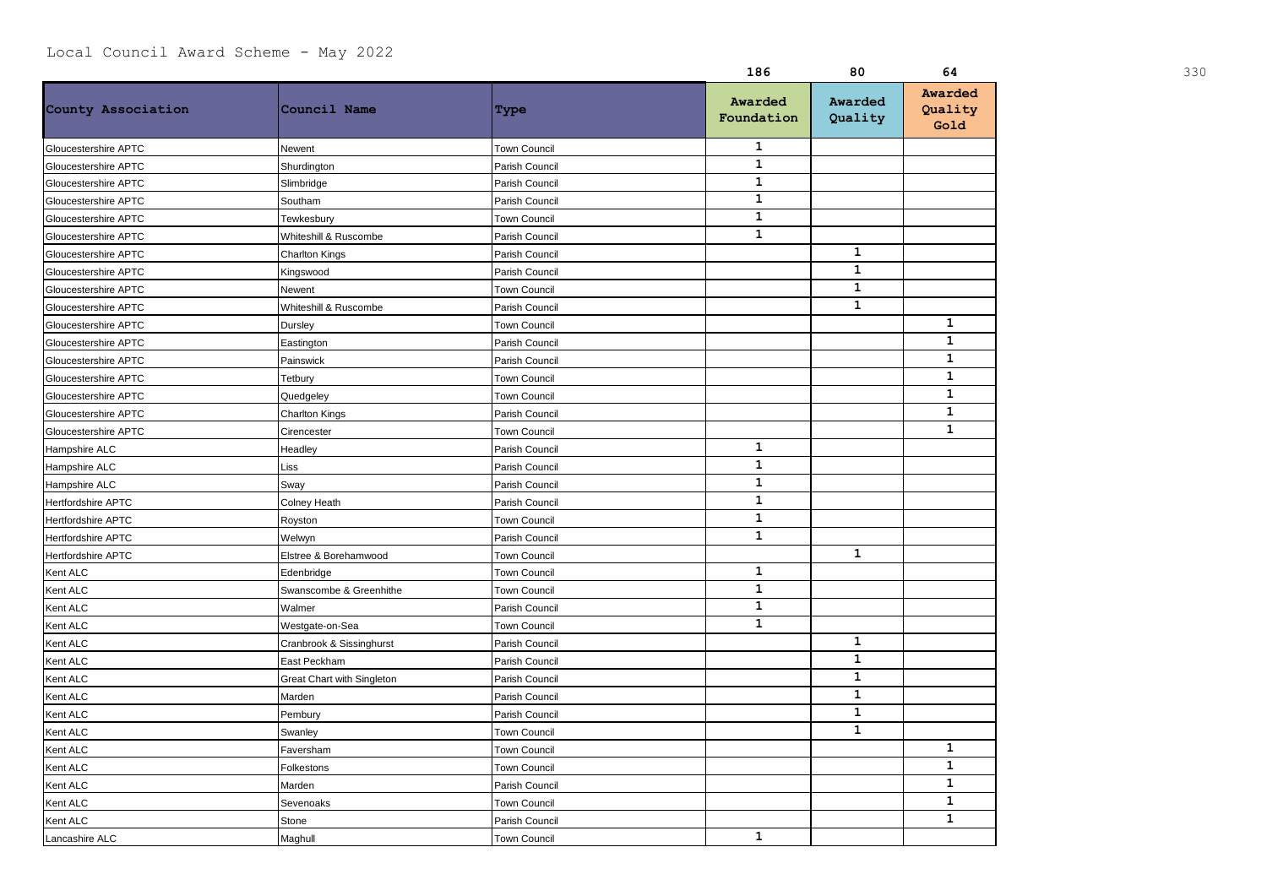|                           |                                   |                     | 186                   | 80                 | 64                         | 330 |
|---------------------------|-----------------------------------|---------------------|-----------------------|--------------------|----------------------------|-----|
| County Association        | Council Name                      | Type                | Awarded<br>Foundation | Awarded<br>Quality | Awarded<br>Quality<br>Gold |     |
| Gloucestershire APTC      | Newent                            | <b>Town Council</b> | $\mathbf{1}$          |                    |                            |     |
| Gloucestershire APTC      | Shurdington                       | Parish Council      | $\mathbf{1}$          |                    |                            |     |
| Gloucestershire APTC      | Slimbridge                        | Parish Council      | ${\bf 1}$             |                    |                            |     |
| Gloucestershire APTC      | Southam                           | Parish Council      | $\mathbf{1}$          |                    |                            |     |
| Gloucestershire APTC      | Tewkesbury                        | <b>Town Council</b> | $\mathbf{1}$          |                    |                            |     |
| Gloucestershire APTC      | Whiteshill & Ruscombe             | Parish Council      | $\mathbf{1}$          |                    |                            |     |
| Gloucestershire APTC      | <b>Charlton Kings</b>             | Parish Council      |                       | $\mathbf{1}$       |                            |     |
| Gloucestershire APTC      | Kingswood                         | Parish Council      |                       | $\mathbf{1}$       |                            |     |
| Gloucestershire APTC      | Newent                            | <b>Town Council</b> |                       | $\mathbf{1}$       |                            |     |
| Gloucestershire APTC      | Whiteshill & Ruscombe             | Parish Council      |                       | $\mathbf{1}$       |                            |     |
| Gloucestershire APTC      | Dursley                           | <b>Town Council</b> |                       |                    | $\mathbf 1$                |     |
| Gloucestershire APTC      | Eastington                        | Parish Council      |                       |                    | $\mathbf{1}$               |     |
| Gloucestershire APTC      | Painswick                         | Parish Council      |                       |                    | $\mathbf{1}$               |     |
| Gloucestershire APTC      | Tetbury                           | <b>Town Council</b> |                       |                    | $\mathbf{1}$               |     |
| Gloucestershire APTC      | Quedgeley                         | <b>Town Council</b> |                       |                    | $\mathbf{1}$               |     |
| Gloucestershire APTC      | <b>Charlton Kings</b>             | Parish Council      |                       |                    | $\mathbf{1}$               |     |
| Gloucestershire APTC      | Cirencester                       | Town Council        |                       |                    | $\mathbf{1}$               |     |
| Hampshire ALC             | Headley                           | Parish Council      | $\mathbf{1}$          |                    |                            |     |
| Hampshire ALC             | Liss                              | Parish Council      | $\mathbf{1}$          |                    |                            |     |
| Hampshire ALC             | Sway                              | Parish Council      | $\mathbf{1}$          |                    |                            |     |
| Hertfordshire APTC        | <b>Colney Heath</b>               | Parish Council      | $\mathbf{1}$          |                    |                            |     |
| <b>Hertfordshire APTC</b> | Royston                           | <b>Town Council</b> | $\mathbf{1}$          |                    |                            |     |
| Hertfordshire APTC        | Welwyn                            | Parish Council      | $\mathbf{1}$          |                    |                            |     |
| Hertfordshire APTC        | Elstree & Borehamwood             | <b>Town Council</b> |                       | $\mathbf{1}$       |                            |     |
| Kent ALC                  | Edenbridge                        | <b>Town Council</b> | $\mathbf{1}$          |                    |                            |     |
| Kent ALC                  | Swanscombe & Greenhithe           | <b>Town Council</b> | $\mathbf{1}$          |                    |                            |     |
| Kent ALC                  | Walmer                            | Parish Council      | $\mathbf{1}$          |                    |                            |     |
| Kent ALC                  | Westgate-on-Sea                   | <b>Town Council</b> | $\mathbf{1}$          |                    |                            |     |
| Kent ALC                  | Cranbrook & Sissinghurst          | Parish Council      |                       | $\mathbf{1}$       |                            |     |
| Kent ALC                  | East Peckham                      | Parish Council      |                       | $\mathbf{1}$       |                            |     |
| Kent ALC                  | <b>Great Chart with Singleton</b> | Parish Council      |                       | 1                  |                            |     |
| Kent ALC                  | Marden                            | Parish Council      |                       | $\mathbf{1}$       |                            |     |
| Kent ALC                  | Pembury                           | Parish Council      |                       | $\mathbf{1}$       |                            |     |
| Kent ALC                  | Swanley                           | <b>Town Council</b> |                       | $\mathbf{1}$       |                            |     |
| Kent ALC                  | Faversham                         | <b>Town Council</b> |                       |                    | 1                          |     |
| Kent ALC                  | Folkestons                        | <b>Town Council</b> |                       |                    | $\mathbf{1}$               |     |
| Kent ALC                  | Marden                            | Parish Council      |                       |                    | $\mathbf{1}$               |     |
| Kent ALC                  | Sevenoaks                         | <b>Town Council</b> |                       |                    | $\mathbf{1}$               |     |
| Kent ALC                  | Stone                             | Parish Council      |                       |                    | $\mathbf{1}$               |     |
| Lancashire ALC            | Maghull                           | <b>Town Council</b> | $\mathbf{1}$          |                    |                            |     |
|                           |                                   |                     |                       |                    |                            |     |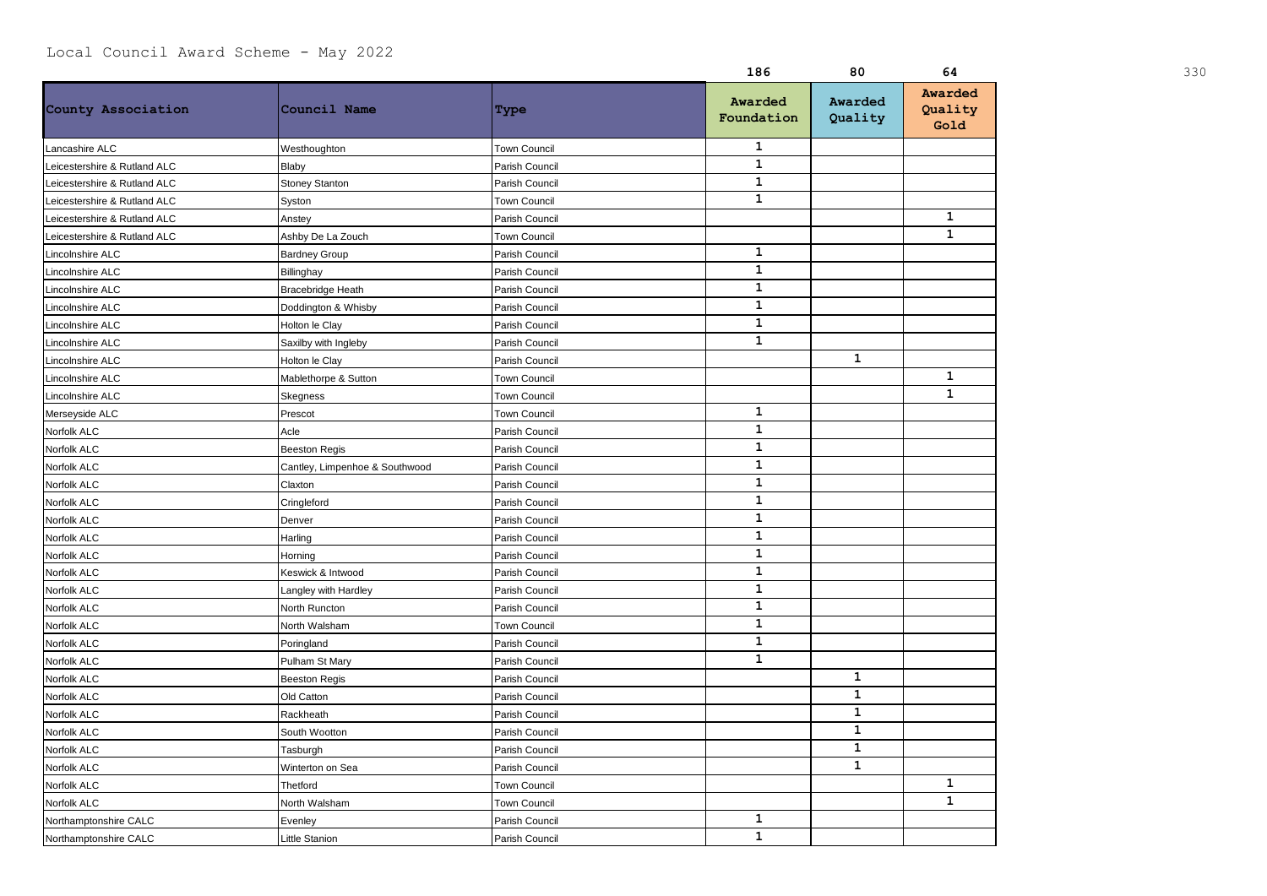|                              |                                |                     | 186                   | 80                 | 64                         | 330 |
|------------------------------|--------------------------------|---------------------|-----------------------|--------------------|----------------------------|-----|
| County Association           | Council Name                   | Type                | Awarded<br>Foundation | Awarded<br>Quality | Awarded<br>Quality<br>Gold |     |
| Lancashire ALC               | Westhoughton                   | <b>Town Council</b> | $\mathbf{1}$          |                    |                            |     |
| Leicestershire & Rutland ALC | Blaby                          | Parish Council      | $\mathbf{1}$          |                    |                            |     |
| Leicestershire & Rutland ALC | <b>Stoney Stanton</b>          | Parish Council      | $\mathbf 1$           |                    |                            |     |
| Leicestershire & Rutland ALC | Syston                         | <b>Town Council</b> | $\mathbf 1$           |                    |                            |     |
| Leicestershire & Rutland ALC | Anstey                         | Parish Council      |                       |                    | $\mathbf{1}$               |     |
| Leicestershire & Rutland ALC | Ashby De La Zouch              | Town Council        |                       |                    | $\mathbf{1}$               |     |
| Lincolnshire ALC             | <b>Bardney Group</b>           | Parish Council      | 1                     |                    |                            |     |
| Lincolnshire ALC             | Billinghay                     | Parish Council      | $\mathbf 1$           |                    |                            |     |
| Lincolnshire ALC             | <b>Bracebridge Heath</b>       | Parish Council      | $\mathbf 1$           |                    |                            |     |
| Lincolnshire ALC             | Doddington & Whisby            | Parish Council      | $\mathbf 1$           |                    |                            |     |
| Lincolnshire ALC             | Holton le Clay                 | Parish Council      | $\mathbf{1}$          |                    |                            |     |
| Lincolnshire ALC             | Saxilby with Ingleby           | Parish Council      | $\mathbf{1}$          |                    |                            |     |
| Lincolnshire ALC             | Holton le Clay                 | Parish Council      |                       | $\mathbf{1}$       |                            |     |
| Lincolnshire ALC             | Mablethorpe & Sutton           | Town Council        |                       |                    | $\mathbf{1}$               |     |
| Lincolnshire ALC             | <b>Skegness</b>                | Town Council        |                       |                    | $\mathbf{1}$               |     |
| Merseyside ALC               | Prescot                        | Town Council        | $\mathbf{1}$          |                    |                            |     |
| Norfolk ALC                  | Acle                           | Parish Council      | $\mathbf{1}$          |                    |                            |     |
| Norfolk ALC                  | <b>Beeston Regis</b>           | Parish Council      | $\mathbf{1}$          |                    |                            |     |
| Norfolk ALC                  | Cantley, Limpenhoe & Southwood | Parish Council      | $\mathbf{1}$          |                    |                            |     |
| Norfolk ALC                  | Claxton                        | Parish Council      | $\mathbf 1$           |                    |                            |     |
| Norfolk ALC                  | Cringleford                    | Parish Council      | $\mathbf{1}$          |                    |                            |     |
| Norfolk ALC                  | Denver                         | Parish Council      | $\mathbf{1}$          |                    |                            |     |
| Norfolk ALC                  | Harling                        | Parish Council      | $\mathbf{1}$          |                    |                            |     |
| Norfolk ALC                  | Horning                        | Parish Council      | $\mathbf{1}$          |                    |                            |     |
| Norfolk ALC                  | Keswick & Intwood              | Parish Council      | $\mathbf 1$           |                    |                            |     |
| Norfolk ALC                  | Langley with Hardley           | Parish Council      | $\mathbf{1}$          |                    |                            |     |
| Norfolk ALC                  | North Runcton                  | Parish Council      | $\mathbf{1}$          |                    |                            |     |
| Norfolk ALC                  | North Walsham                  | Town Council        | $\mathbf{1}$          |                    |                            |     |
| Norfolk ALC                  | Poringland                     | Parish Council      | $\mathbf 1$           |                    |                            |     |
| Norfolk ALC                  | Pulham St Mary                 | Parish Council      | $\mathbf{1}$          |                    |                            |     |
| Norfolk ALC                  | <b>Beeston Regis</b>           | Parish Council      |                       | $\mathbf{1}$       |                            |     |
| Norfolk ALC                  | Old Catton                     | Parish Council      |                       | $\mathbf{1}$       |                            |     |
| Norfolk ALC                  | Rackheath                      | Parish Council      |                       | $\mathbf{1}$       |                            |     |
| Norfolk ALC                  | South Wootton                  | Parish Council      |                       | $\mathbf{1}$       |                            |     |
| Norfolk ALC                  | Tasburgh                       | Parish Council      |                       | $\mathbf{1}$       |                            |     |
| Norfolk ALC                  | Winterton on Sea               | Parish Council      |                       | $\mathbf{1}$       |                            |     |
| Norfolk ALC                  | Thetford                       | Town Council        |                       |                    | $\mathbf{1}$               |     |
| Norfolk ALC                  | North Walsham                  | Town Council        |                       |                    | $\mathbf{1}$               |     |
| Northamptonshire CALC        | Evenley                        | Parish Council      | 1                     |                    |                            |     |
| Northamptonshire CALC        | Little Stanion                 | Parish Council      | $\mathbf{1}$          |                    |                            |     |
|                              |                                |                     |                       |                    |                            |     |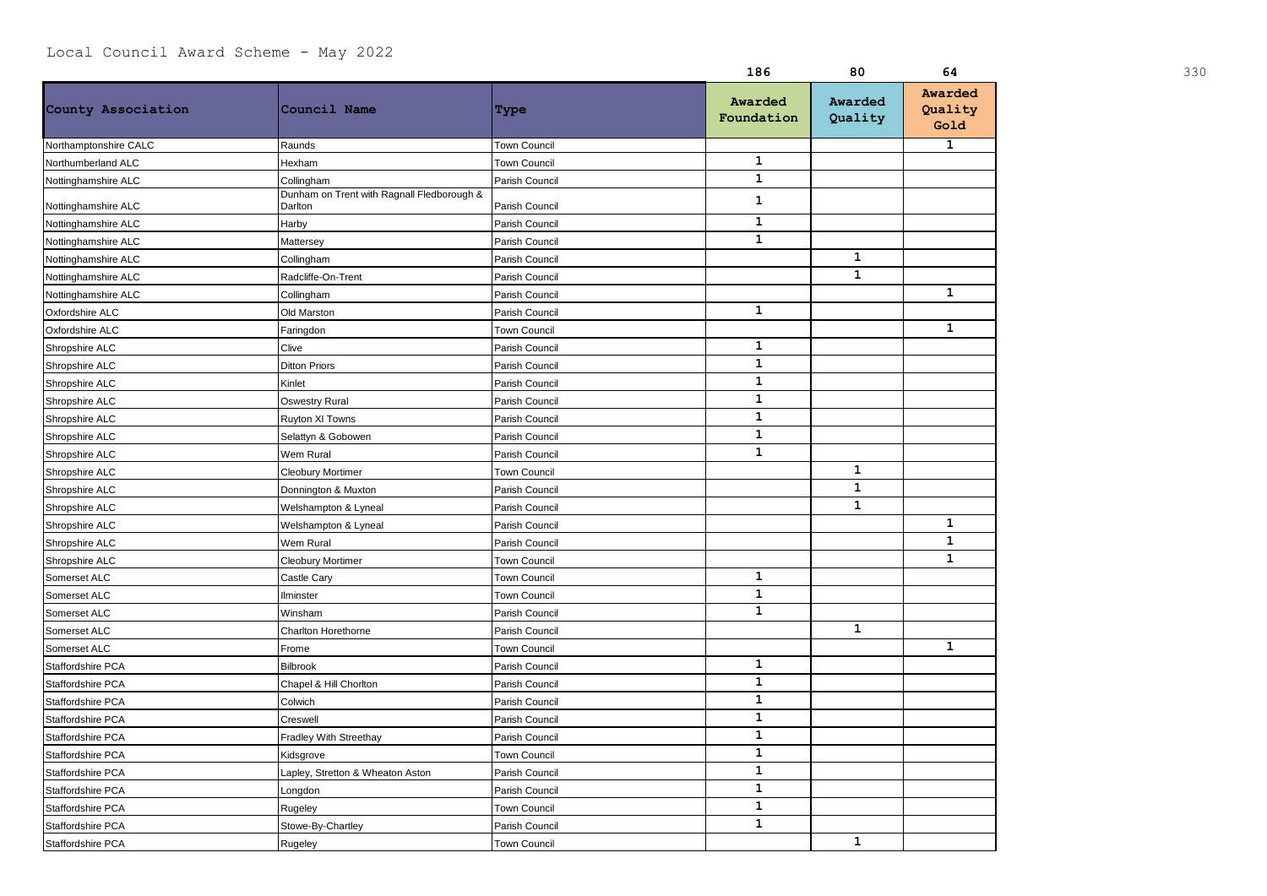|                       |                                                       |                     | 186                   | 80                 | 64                         | 330 |
|-----------------------|-------------------------------------------------------|---------------------|-----------------------|--------------------|----------------------------|-----|
| County Association    | Council Name                                          | Type                | Awarded<br>Foundation | Awarded<br>Quality | Awarded<br>Quality<br>Gold |     |
| Northamptonshire CALC | Raunds                                                | <b>Town Council</b> |                       |                    | 1                          |     |
| Northumberland ALC    | Hexham                                                | <b>Town Council</b> | $\mathbf 1$           |                    |                            |     |
| Nottinghamshire ALC   | Collingham                                            | Parish Council      | $\mathbf{1}$          |                    |                            |     |
| Nottinghamshire ALC   | Dunham on Trent with Ragnall Fledborough &<br>Darlton | Parish Council      | $\mathbf{1}$          |                    |                            |     |
| Nottinghamshire ALC   | Harby                                                 | Parish Council      | $\mathbf{1}$          |                    |                            |     |
| Nottinghamshire ALC   | Mattersey                                             | Parish Council      | $\mathbf{1}$          |                    |                            |     |
| Nottinghamshire ALC   | Collingham                                            | Parish Council      |                       | $\mathbf{1}$       |                            |     |
| Nottinghamshire ALC   | Radcliffe-On-Trent                                    | Parish Council      |                       | $\mathbf{1}$       |                            |     |
| Nottinghamshire ALC   | Collingham                                            | Parish Council      |                       |                    | $\mathbf{1}$               |     |
| Oxfordshire ALC       | Old Marston                                           | Parish Council      | $\mathbf{1}$          |                    |                            |     |
| Oxfordshire ALC       | Faringdon                                             | <b>Town Council</b> |                       |                    | $\mathbf{1}$               |     |
| Shropshire ALC        | Clive                                                 | Parish Council      | $\mathbf{1}$          |                    |                            |     |
| Shropshire ALC        | Ditton Priors                                         | Parish Council      | $\mathbf{1}$          |                    |                            |     |
| Shropshire ALC        | Kinlet                                                | Parish Council      | $\mathbf{1}$          |                    |                            |     |
| Shropshire ALC        | <b>Oswestry Rural</b>                                 | Parish Council      | $\mathbf{1}$          |                    |                            |     |
| Shropshire ALC        | Ruyton XI Towns                                       | Parish Council      | $\mathbf{1}$          |                    |                            |     |
| Shropshire ALC        | Selattyn & Gobowen                                    | Parish Council      | $\mathbf{1}$          |                    |                            |     |
| Shropshire ALC        | Wem Rural                                             | Parish Council      | $\mathbf{1}$          |                    |                            |     |
| Shropshire ALC        | Cleobury Mortimer                                     | <b>Town Council</b> |                       | $\mathbf{1}$       |                            |     |
| Shropshire ALC        | Donnington & Muxton                                   | Parish Council      |                       | $\mathbf{1}$       |                            |     |
| Shropshire ALC        | Welshampton & Lyneal                                  | Parish Council      |                       | $\mathbf{1}$       |                            |     |
| Shropshire ALC        | Welshampton & Lyneal                                  | Parish Council      |                       |                    | $\mathbf{1}$               |     |
| Shropshire ALC        | Wem Rural                                             | Parish Council      |                       |                    | $\mathbf{1}$               |     |
| Shropshire ALC        | <b>Cleobury Mortimer</b>                              | <b>Town Council</b> |                       |                    | $\mathbf{1}$               |     |
| Somerset ALC          | Castle Cary                                           | <b>Town Council</b> | $\mathbf{1}$          |                    |                            |     |
| Somerset ALC          | Ilminster                                             | Town Council        | $\mathbf{1}$          |                    |                            |     |
| Somerset ALC          | Winsham                                               | Parish Council      | $\mathbf{1}$          |                    |                            |     |
| Somerset ALC          | Charlton Horethorne                                   | Parish Council      |                       | $\mathbf 1$        |                            |     |
| Somerset ALC          | Frome                                                 | Town Council        |                       |                    | $\mathbf 1$                |     |
| Staffordshire PCA     | <b>Bilbrook</b>                                       | Parish Council      | $\mathbf{1}$          |                    |                            |     |
| Staffordshire PCA     | Chapel & Hill Chorlton                                | Parish Council      | $\mathbf{1}$          |                    |                            |     |
| Staffordshire PCA     | Colwich                                               | Parish Council      | $\mathbf{1}$          |                    |                            |     |
| Staffordshire PCA     | Creswell                                              | Parish Council      | $\mathbf{1}$          |                    |                            |     |
| Staffordshire PCA     | Fradley With Streethay                                | Parish Council      | $\mathbf{1}$          |                    |                            |     |
| Staffordshire PCA     | Kidsgrove                                             | <b>Town Council</b> | $\mathbf{1}$          |                    |                            |     |
| Staffordshire PCA     | Lapley, Stretton & Wheaton Aston                      | Parish Council      | $\mathbf{1}$          |                    |                            |     |
| Staffordshire PCA     | Longdon                                               | Parish Council      | $\mathbf{1}$          |                    |                            |     |
| Staffordshire PCA     | Rugeley                                               | <b>Town Council</b> | $\mathbf{1}$          |                    |                            |     |
| Staffordshire PCA     | Stowe-By-Chartley                                     | Parish Council      | $\mathbf{1}$          |                    |                            |     |
| Staffordshire PCA     | Rugeley                                               | Town Council        |                       | $\mathbf{1}$       |                            |     |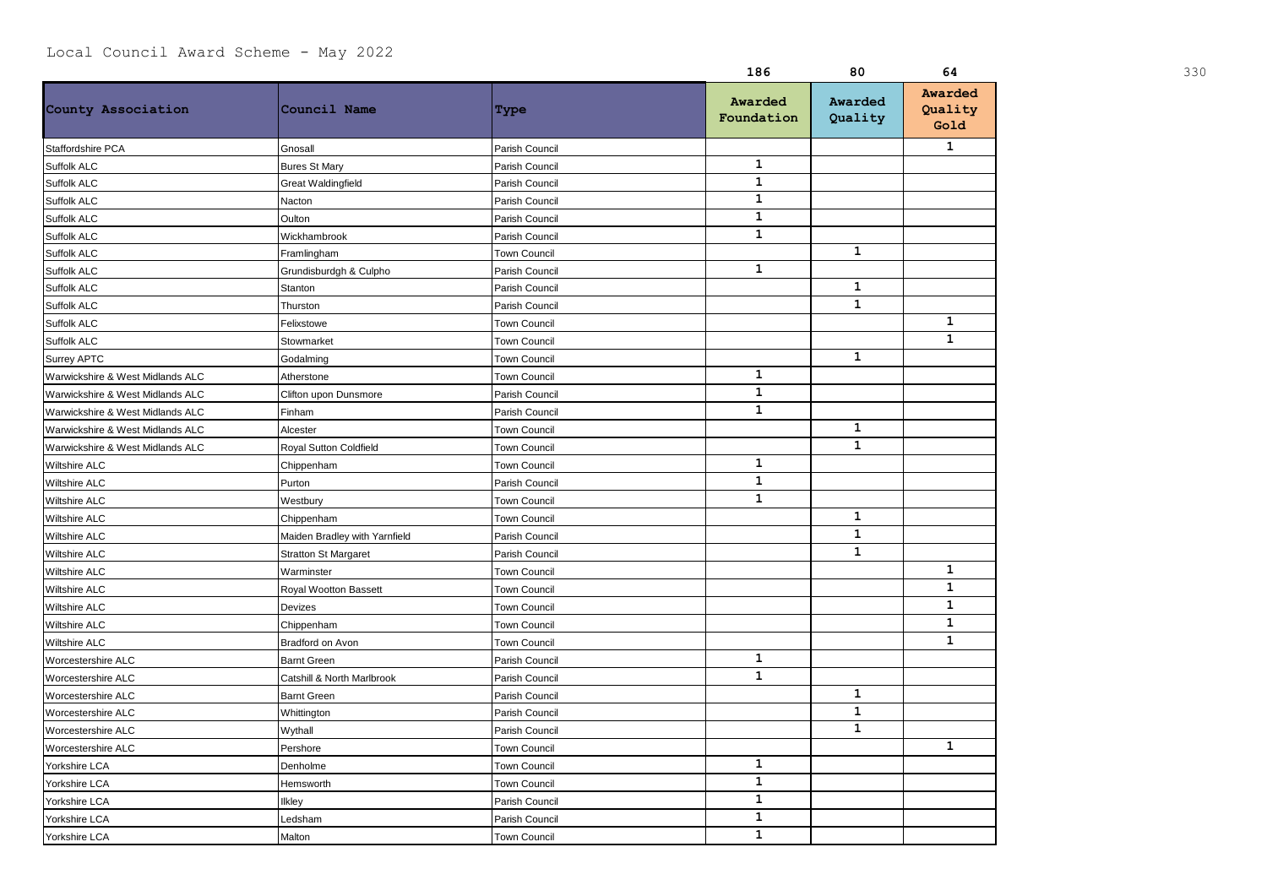|                                  |                               |                     | 186                   | 80                 | 64                         | 330 |
|----------------------------------|-------------------------------|---------------------|-----------------------|--------------------|----------------------------|-----|
| County Association               | Council Name                  | Type                | Awarded<br>Foundation | Awarded<br>Quality | Awarded<br>Quality<br>Gold |     |
| Staffordshire PCA                | Gnosall                       | Parish Council      |                       |                    | $\mathbf{1}$               |     |
| Suffolk ALC                      | <b>Bures St Mary</b>          | Parish Council      | $\mathbf{1}$          |                    |                            |     |
| Suffolk ALC                      | <b>Great Waldingfield</b>     | Parish Council      | $\mathbf{1}$          |                    |                            |     |
| Suffolk ALC                      | Nacton                        | Parish Council      | $\mathbf{1}$          |                    |                            |     |
| Suffolk ALC                      | Oulton                        | Parish Council      | $\mathbf{1}$          |                    |                            |     |
| Suffolk ALC                      | Wickhambrook                  | Parish Council      | $\mathbf{1}$          |                    |                            |     |
| Suffolk ALC                      | Framlingham                   | <b>Town Council</b> |                       | $\mathbf{1}$       |                            |     |
| Suffolk ALC                      | Grundisburdgh & Culpho        | Parish Council      | $\mathbf{1}$          |                    |                            |     |
| Suffolk ALC                      | Stanton                       | Parish Council      |                       | $\mathbf{1}$       |                            |     |
| Suffolk ALC                      | Thurston                      | Parish Council      |                       | $\mathbf{1}$       |                            |     |
| Suffolk ALC                      | Felixstowe                    | Town Council        |                       |                    | $\mathbf{1}$               |     |
| Suffolk ALC                      | Stowmarket                    | <b>Town Council</b> |                       |                    | $\mathbf{1}$               |     |
| Surrey APTC                      | Godalming                     | Town Council        |                       | $\mathbf{1}$       |                            |     |
| Warwickshire & West Midlands ALC | Atherstone                    | Town Council        | $\mathbf{1}$          |                    |                            |     |
| Warwickshire & West Midlands ALC | Clifton upon Dunsmore         | Parish Council      | $\mathbf{1}$          |                    |                            |     |
| Warwickshire & West Midlands ALC | Finham                        | Parish Council      | $\mathbf{1}$          |                    |                            |     |
| Warwickshire & West Midlands ALC | Alcester                      | <b>Town Council</b> |                       | $\mathbf{1}$       |                            |     |
| Warwickshire & West Midlands ALC | Royal Sutton Coldfield        | <b>Town Council</b> |                       | $\mathbf{1}$       |                            |     |
| Wiltshire ALC                    | Chippenham                    | <b>Town Council</b> | $\mathbf{1}$          |                    |                            |     |
| Wiltshire ALC                    | Purton                        | Parish Council      | $\mathbf{1}$          |                    |                            |     |
| Wiltshire ALC                    | Westbury                      | <b>Town Council</b> | $\mathbf{1}$          |                    |                            |     |
| Wiltshire ALC                    | Chippenham                    | Town Council        |                       | $\mathbf{1}$       |                            |     |
| Wiltshire ALC                    | Maiden Bradley with Yarnfield | Parish Council      |                       | $\mathbf{1}$       |                            |     |
| <b>Wiltshire ALC</b>             | <b>Stratton St Margaret</b>   | Parish Council      |                       | $\mathbf{1}$       |                            |     |
| <b>Wiltshire ALC</b>             | Warminster                    | Town Council        |                       |                    | $\mathbf{1}$               |     |
| Wiltshire ALC                    | Royal Wootton Bassett         | <b>Town Council</b> |                       |                    | $\mathbf{1}$               |     |
| Wiltshire ALC                    | Devizes                       | Town Council        |                       |                    | $\mathbf{1}$               |     |
| Wiltshire ALC                    | Chippenham                    | <b>Town Council</b> |                       |                    | 1                          |     |
| <b>Wiltshire ALC</b>             | Bradford on Avon              | <b>Town Council</b> |                       |                    | $\mathbf{1}$               |     |
| Worcestershire ALC               | <b>Barnt Green</b>            | Parish Council      | $\mathbf 1$           |                    |                            |     |
| Worcestershire ALC               | Catshill & North Marlbrook    | Parish Council      | $\mathbf{1}$          |                    |                            |     |
| Worcestershire ALC               | <b>Barnt Green</b>            | Parish Council      |                       | $\mathbf{1}$       |                            |     |
| Worcestershire ALC               | Whittington                   | Parish Council      |                       | $\mathbf{1}$       |                            |     |
| Worcestershire ALC               | Wythall                       | Parish Council      |                       | $\mathbf{1}$       |                            |     |
| Worcestershire ALC               | Pershore                      | <b>Town Council</b> |                       |                    | $\mathbf{1}$               |     |
| Yorkshire LCA                    | Denholme                      | <b>Town Council</b> | $\mathbf{1}$          |                    |                            |     |
| Yorkshire LCA                    | Hemsworth                     | Town Council        | $\mathbf{1}$          |                    |                            |     |
| Yorkshire LCA                    | Ilkley                        | Parish Council      | $\mathbf{1}$          |                    |                            |     |
| Yorkshire LCA                    | Ledsham                       | Parish Council      | $\mathbf{1}$          |                    |                            |     |
| Yorkshire LCA                    | Malton                        | <b>Town Council</b> | $\mathbf{1}$          |                    |                            |     |
|                                  |                               |                     |                       |                    |                            |     |